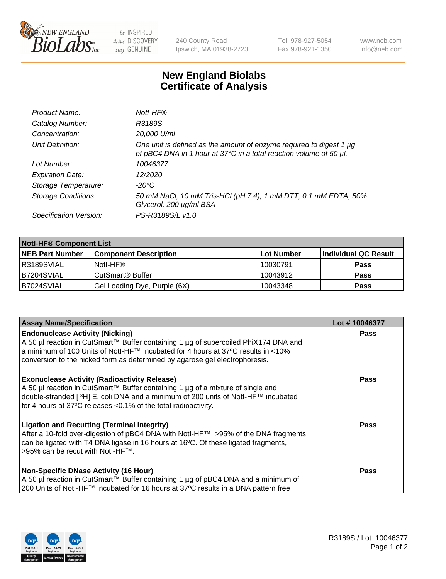

 $be$  INSPIRED drive DISCOVERY stay GENUINE

240 County Road Ipswich, MA 01938-2723 Tel 978-927-5054 Fax 978-921-1350 www.neb.com info@neb.com

## **New England Biolabs Certificate of Analysis**

| Product Name:              | Notl-HF®                                                                                                                                  |
|----------------------------|-------------------------------------------------------------------------------------------------------------------------------------------|
| Catalog Number:            | R3189S                                                                                                                                    |
| Concentration:             | 20,000 U/ml                                                                                                                               |
| Unit Definition:           | One unit is defined as the amount of enzyme required to digest 1 µg<br>of pBC4 DNA in 1 hour at 37°C in a total reaction volume of 50 µl. |
| Lot Number:                | 10046377                                                                                                                                  |
| <b>Expiration Date:</b>    | 12/2020                                                                                                                                   |
| Storage Temperature:       | $-20^{\circ}$ C                                                                                                                           |
| <b>Storage Conditions:</b> | 50 mM NaCl, 10 mM Tris-HCl (pH 7.4), 1 mM DTT, 0.1 mM EDTA, 50%<br>Glycerol, 200 µg/ml BSA                                                |
| Specification Version:     | PS-R3189S/L v1.0                                                                                                                          |

| <b>Notl-HF® Component List</b> |                              |            |                      |  |  |
|--------------------------------|------------------------------|------------|----------------------|--|--|
| <b>NEB Part Number</b>         | <b>Component Description</b> | Lot Number | Individual QC Result |  |  |
| R3189SVIAL                     | Notl-HF®                     | 10030791   | <b>Pass</b>          |  |  |
| B7204SVIAL                     | CutSmart <sup>®</sup> Buffer | 10043912   | <b>Pass</b>          |  |  |
| B7024SVIAL                     | Gel Loading Dye, Purple (6X) | 10043348   | <b>Pass</b>          |  |  |

| <b>Assay Name/Specification</b>                                                                                                                                                                                                                                                                              | Lot #10046377 |
|--------------------------------------------------------------------------------------------------------------------------------------------------------------------------------------------------------------------------------------------------------------------------------------------------------------|---------------|
| <b>Endonuclease Activity (Nicking)</b><br>A 50 µl reaction in CutSmart™ Buffer containing 1 µg of supercoiled PhiX174 DNA and                                                                                                                                                                                | <b>Pass</b>   |
| a minimum of 100 Units of Notl-HF™ incubated for 4 hours at 37°C results in <10%<br>conversion to the nicked form as determined by agarose gel electrophoresis.                                                                                                                                              |               |
| <b>Exonuclease Activity (Radioactivity Release)</b><br>  A 50 µl reaction in CutSmart™ Buffer containing 1 µg of a mixture of single and<br>double-stranded [ <sup>3</sup> H] E. coli DNA and a minimum of 200 units of Notl-HF™ incubated<br>for 4 hours at 37°C releases <0.1% of the total radioactivity. | <b>Pass</b>   |
| <b>Ligation and Recutting (Terminal Integrity)</b><br>After a 10-fold over-digestion of pBC4 DNA with Notl-HF™, >95% of the DNA fragments<br>can be ligated with T4 DNA ligase in 16 hours at 16 <sup>o</sup> C. Of these ligated fragments,<br> >95% can be recut with NotI-HF™.                            | Pass          |
| <b>Non-Specific DNase Activity (16 Hour)</b>                                                                                                                                                                                                                                                                 | <b>Pass</b>   |
| A 50 µl reaction in CutSmart™ Buffer containing 1 µg of pBC4 DNA and a minimum of<br>200 Units of Notl-HF™ incubated for 16 hours at 37°C results in a DNA pattern free                                                                                                                                      |               |